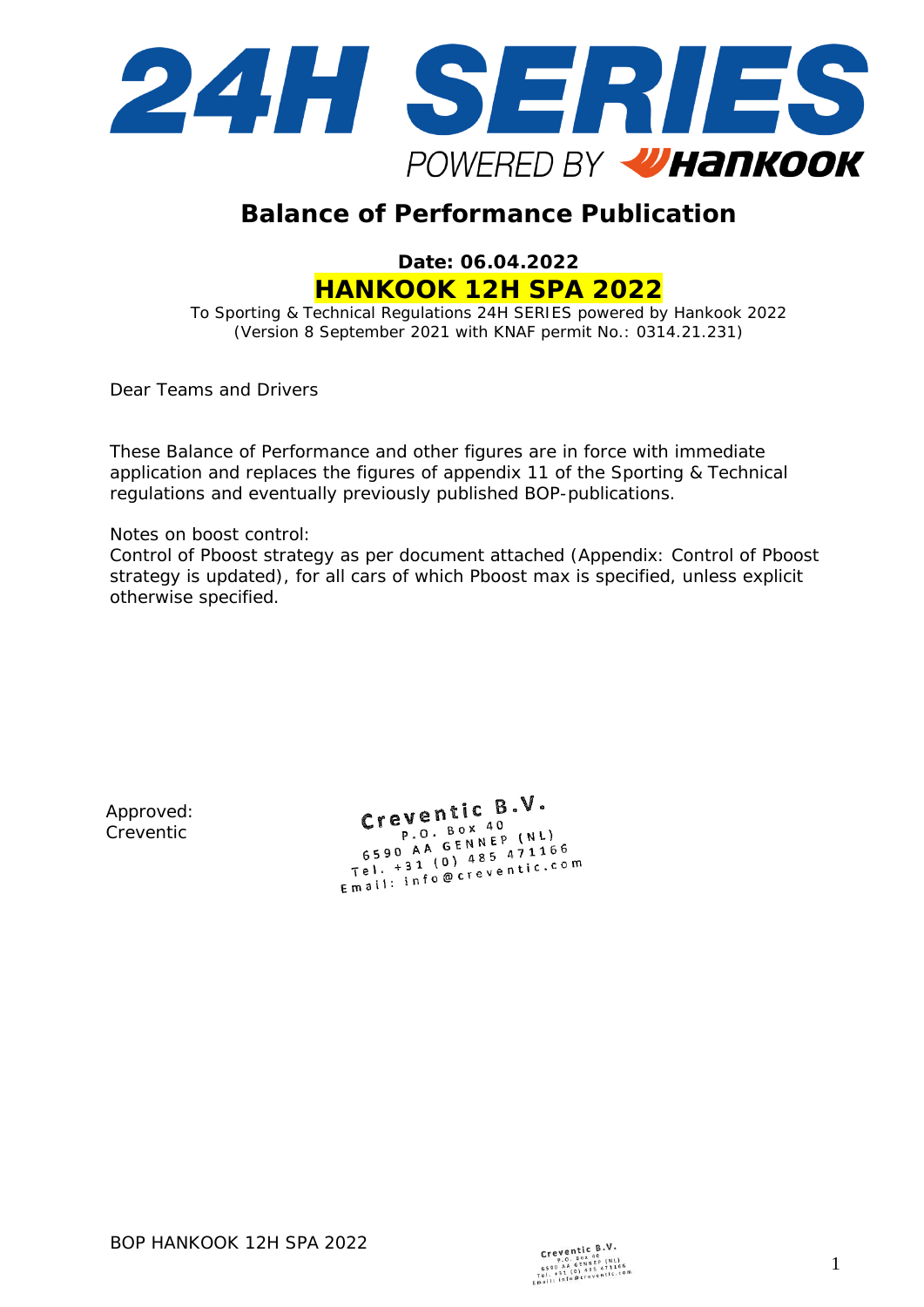

# **Balance of Performance Publication**

**Date: 06.04.2022 HANKOOK 12H SPA 2022**

To Sporting & Technical Regulations 24H SERIES powered by Hankook 2022 (Version 8 September 2021 with KNAF permit No.: 0314.21.231)

Dear Teams and Drivers

These Balance of Performance and other figures are in force with immediate application and replaces the figures of appendix 11 of the Sporting & Technical regulations and eventually previously published BOP-publications.

Notes on boost control:

Control of Pboost strategy as per document attached (Appendix: Control of Pboost strategy is updated), for all cars of which Pboost max is specified, unless explicit otherwise specified.

Approved: Creventic

Creventic  $B.V.$  $eV$ entre  $P$ . Box 40 P.O. Box 40<br>6590 AA GENNEP (NL) 6590 AA GENNEP (NL)<br>Tel. +31 (0) 485 471166<br>Tel. +31 (0) 485 471166  $5590$  A<sub>1</sub> (0) 485 471100<br>
Tel. +31 (0) 485 471100<br>
Email: info@creventic.com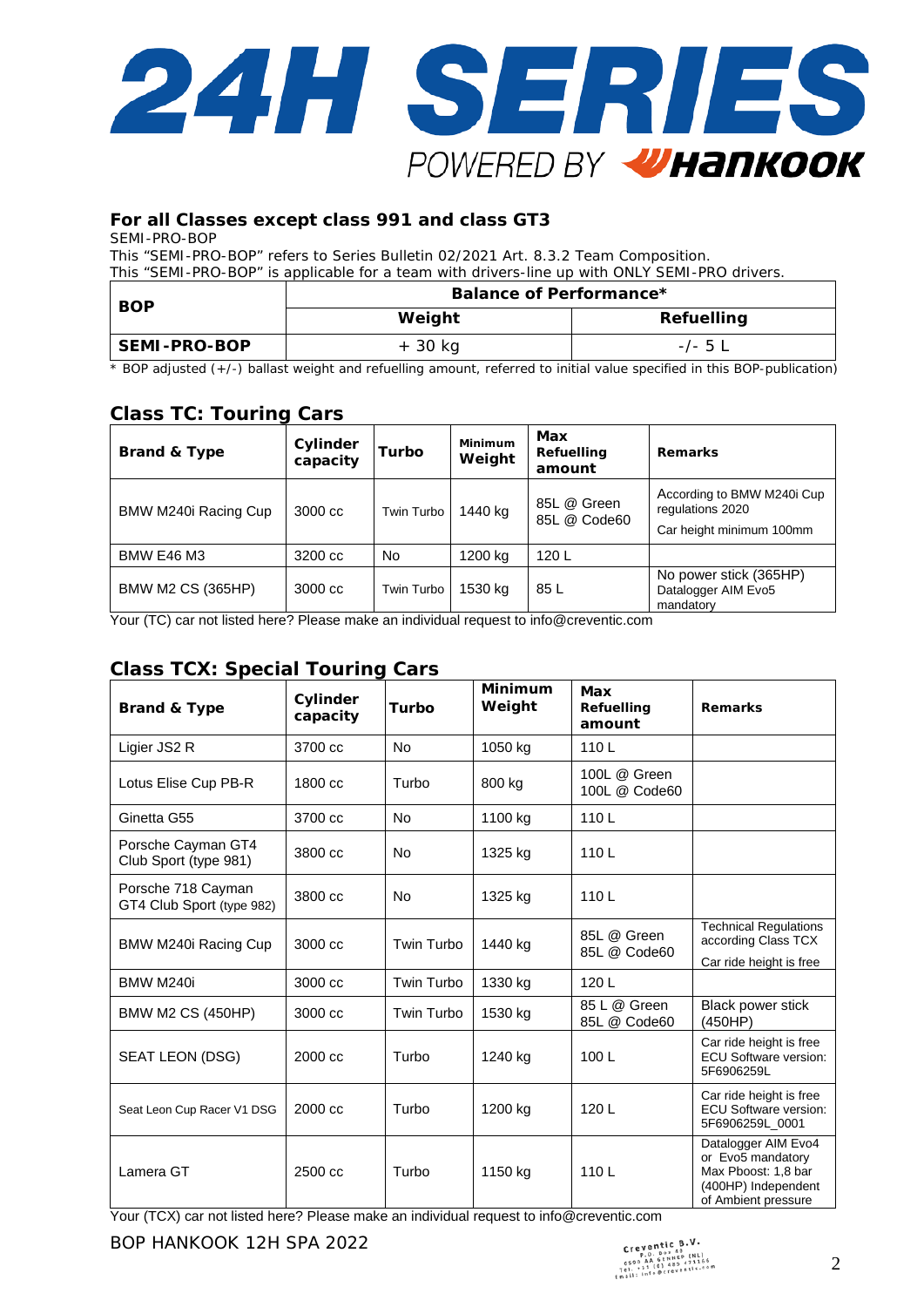

#### **For all Classes except class 991 and class GT3**

SEMI-PRO-BOP

This "SEMI-PRO-BOP" refers to Series Bulletin 02/2021 Art. 8.3.2 Team Composition. This "SEMI-PRO-BOP" is applicable for a team with drivers-line up with ONLY SEMI-PRO drivers.

| <b>BOP</b>   | Balance of Performance* |                   |  |  |  |  |
|--------------|-------------------------|-------------------|--|--|--|--|
|              | Weight                  | <b>Refuelling</b> |  |  |  |  |
| SEMI-PRO-BOP | + 30 kg                 | $-/-$ 5 $\perp$   |  |  |  |  |

\* BOP adjusted (+/-) ballast weight and refuelling amount, referred to initial value specified in this BOP-publication)

# **Class TC: Touring Cars**

| <b>Brand &amp; Type</b>  | Cylinder<br>capacity | Turbo      | Minimum<br>Weight | Max<br>Refuelling<br>amount | <b>Remarks</b>                                                             |
|--------------------------|----------------------|------------|-------------------|-----------------------------|----------------------------------------------------------------------------|
| BMW M240i Racing Cup     | 3000 cc              | Twin Turbo | 1440 kg           | 85L @ Green<br>85L @ Code60 | According to BMW M240i Cup<br>regulations 2020<br>Car height minimum 100mm |
| <b>BMW E46 M3</b>        | 3200 cc              | <b>No</b>  | 1200 kg           | 120L                        |                                                                            |
| <b>BMW M2 CS (365HP)</b> | 3000 cc              | Twin Turbo | 1530 kg           | 85 L                        | No power stick (365HP)<br>Datalogger AIM Evo5<br>mandatory                 |

Your (TC) car not listed here? Please make an individual request t[o info@creventic.com](mailto:info@creventic.com)

### **Class TCX: Special Touring Cars**

| <b>Brand &amp; Type</b>                         | Cylinder<br>capacity | Turbo      | <b>Minimum</b><br>Weight | Max<br>Refuelling<br>amount   | <b>Remarks</b>                                                                                                |
|-------------------------------------------------|----------------------|------------|--------------------------|-------------------------------|---------------------------------------------------------------------------------------------------------------|
| Ligier JS2 R                                    | 3700 cc              | <b>No</b>  | 1050 kg                  | 110L                          |                                                                                                               |
| Lotus Elise Cup PB-R                            | 1800 cc              | Turbo      | 800 kg                   | 100L @ Green<br>100L @ Code60 |                                                                                                               |
| Ginetta G55                                     | 3700 cc              | No         | 1100 kg                  | 110L                          |                                                                                                               |
| Porsche Cayman GT4<br>Club Sport (type 981)     | 3800 cc              | <b>No</b>  | 1325 kg                  | 110L                          |                                                                                                               |
| Porsche 718 Cayman<br>GT4 Club Sport (type 982) | 3800 cc              | <b>No</b>  | 1325 kg                  | 110L                          |                                                                                                               |
| BMW M240i Racing Cup                            | 3000 cc              | Twin Turbo | 1440 kg                  | 85L @ Green<br>85L @ Code60   | <b>Technical Regulations</b><br>according Class TCX<br>Car ride height is free                                |
| BMW M240i                                       | 3000 cc              | Twin Turbo | 1330 kg                  | 120L                          |                                                                                                               |
| <b>BMW M2 CS (450HP)</b>                        | 3000 cc              | Twin Turbo | 1530 kg                  | 85 L @ Green<br>85L @ Code60  | Black power stick<br>(450HP)                                                                                  |
| SEAT LEON (DSG)                                 | 2000 cc              | Turbo      | 1240 kg                  | 100L                          | Car ride height is free<br><b>ECU Software version:</b><br>5F6906259L                                         |
| Seat Leon Cup Racer V1 DSG                      | 2000 cc              | Turbo      | 1200 kg                  | 120 L                         | Car ride height is free<br><b>ECU Software version:</b><br>5F6906259L 0001                                    |
| Lamera GT                                       | 2500 cc              | Turbo      | 1150 kg                  | 110L                          | Datalogger AIM Evo4<br>or Evo5 mandatory<br>Max Pboost: 1,8 bar<br>(400HP) Independent<br>of Ambient pressure |

Your (TCX) car not listed here? Please make an individual request t[o info@creventic.com](mailto:info@creventic.com)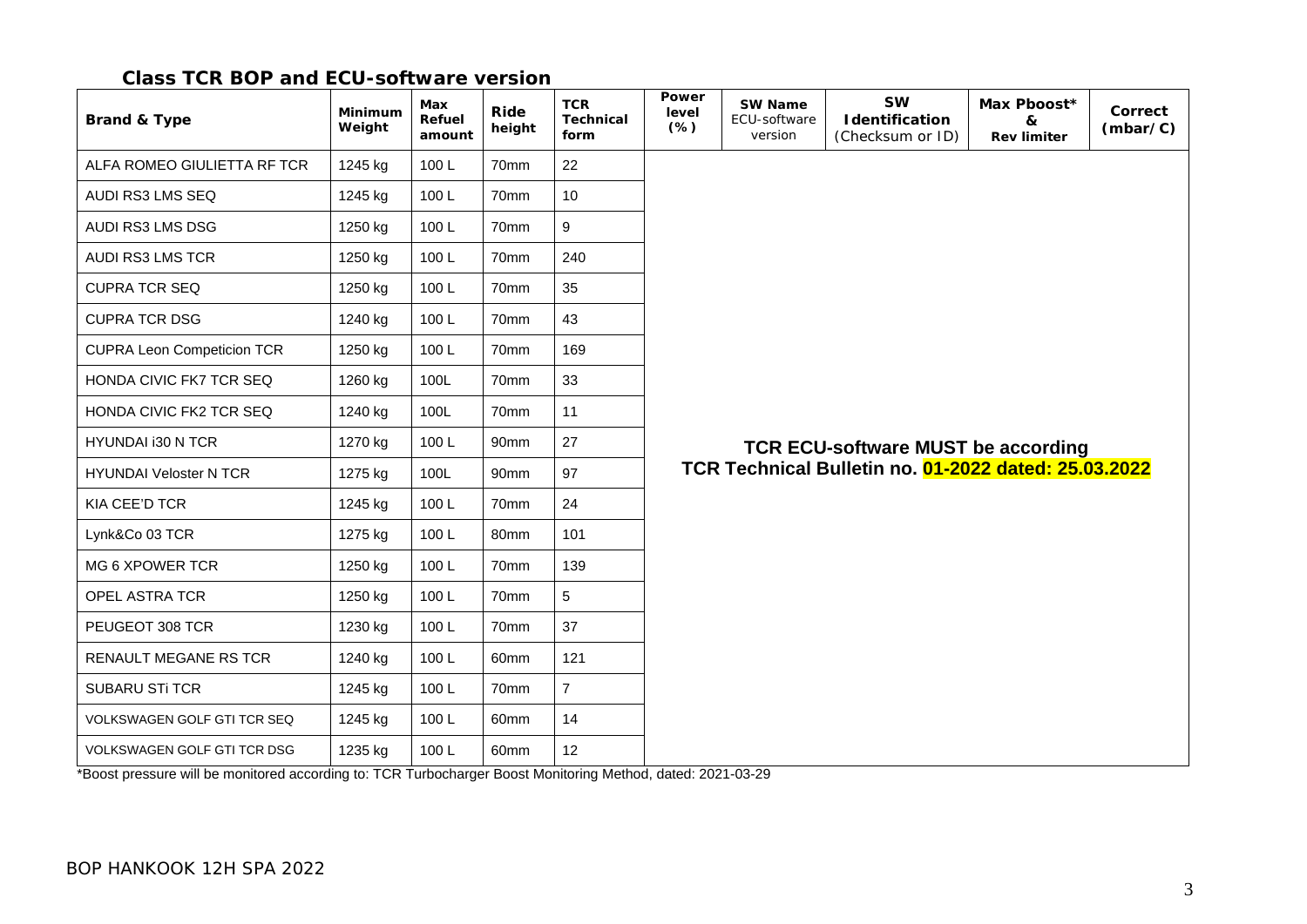#### **Class TCR BOP and ECU-software version**

| <b>Brand &amp; Type</b>            | Minimum<br>Weight | Max<br>Refuel<br>amount | Ride<br>height   | <b>TCR</b><br><b>Technical</b><br>form | Power<br>level<br>$(*)$                   | <b>SW Name</b><br>ECU-software<br>version | <b>SW</b><br><b>I</b> dentification<br>(Checksum or ID) | Max Pboost*<br>&<br><b>Rev limiter</b> | Correct<br>(mbar/C) |  |
|------------------------------------|-------------------|-------------------------|------------------|----------------------------------------|-------------------------------------------|-------------------------------------------|---------------------------------------------------------|----------------------------------------|---------------------|--|
| ALFA ROMEO GIULIETTA RF TCR        | 1245 kg           | 100L                    | 70mm             | 22                                     |                                           |                                           |                                                         |                                        |                     |  |
| AUDI RS3 LMS SEQ                   | 1245 kg           | 100L                    | 70mm             | 10                                     |                                           |                                           |                                                         |                                        |                     |  |
| AUDI RS3 LMS DSG                   | 1250 kg           | 100L                    | 70mm             | 9                                      |                                           |                                           |                                                         |                                        |                     |  |
| <b>AUDI RS3 LMS TCR</b>            | 1250 kg           | 100L                    | 70mm             | 240                                    |                                           |                                           |                                                         |                                        |                     |  |
| <b>CUPRA TCR SEQ</b>               | 1250 kg           | 100L                    | 70mm             | 35                                     |                                           |                                           |                                                         |                                        |                     |  |
| <b>CUPRA TCR DSG</b>               | 1240 kg           | 100L                    | 70mm             | 43                                     |                                           |                                           |                                                         |                                        |                     |  |
| <b>CUPRA Leon Competicion TCR</b>  | 1250 kg           | 100L                    | 70mm             | 169                                    |                                           |                                           |                                                         |                                        |                     |  |
| HONDA CIVIC FK7 TCR SEQ            | 1260 kg           | 100L                    | 70mm             | 33                                     |                                           |                                           |                                                         |                                        |                     |  |
| HONDA CIVIC FK2 TCR SEQ            | 1240 kg           | 100L                    | 70mm             | 11                                     |                                           |                                           |                                                         |                                        |                     |  |
| HYUNDAI i30 N TCR                  | 1270 kg           | 100L                    | 90mm             | 27                                     | <b>TCR ECU-software MUST be according</b> |                                           |                                                         |                                        |                     |  |
| <b>HYUNDAI Veloster N TCR</b>      | 1275 kg           | 100L                    | 90 <sub>mm</sub> | 97                                     |                                           |                                           | TCR Technical Bulletin no. 01-2022 dated: 25.03.2022    |                                        |                     |  |
| <b>KIA CEE'D TCR</b>               | 1245 kg           | 100L                    | 70mm             | 24                                     |                                           |                                           |                                                         |                                        |                     |  |
| Lynk&Co 03 TCR                     | 1275 kg           | 100L                    | 80mm             | 101                                    |                                           |                                           |                                                         |                                        |                     |  |
| MG 6 XPOWER TCR                    | 1250 kg           | 100L                    | 70mm             | 139                                    |                                           |                                           |                                                         |                                        |                     |  |
| <b>OPEL ASTRA TCR</b>              | 1250 kg           | 100L                    | 70mm             | 5                                      |                                           |                                           |                                                         |                                        |                     |  |
| PEUGEOT 308 TCR                    | 1230 kg           | 100L                    | 70mm             | 37                                     |                                           |                                           |                                                         |                                        |                     |  |
| RENAULT MEGANE RS TCR              | 1240 kg           | 100L                    | 60mm             | 121                                    |                                           |                                           |                                                         |                                        |                     |  |
| <b>SUBARU STI TCR</b>              | 1245 kg           | 100L                    | 70mm             | $\overline{7}$                         |                                           |                                           |                                                         |                                        |                     |  |
| <b>VOLKSWAGEN GOLF GTI TCR SEQ</b> | 1245 kg           | 100L                    | 60mm             | 14                                     |                                           |                                           |                                                         |                                        |                     |  |
| <b>VOLKSWAGEN GOLF GTI TCR DSG</b> | 1235 kg           | 100L                    | 60mm             | 12 <sup>2</sup>                        |                                           |                                           |                                                         |                                        |                     |  |

\*Boost pressure will be monitored according to: TCR Turbocharger Boost Monitoring Method, dated: 2021-03-29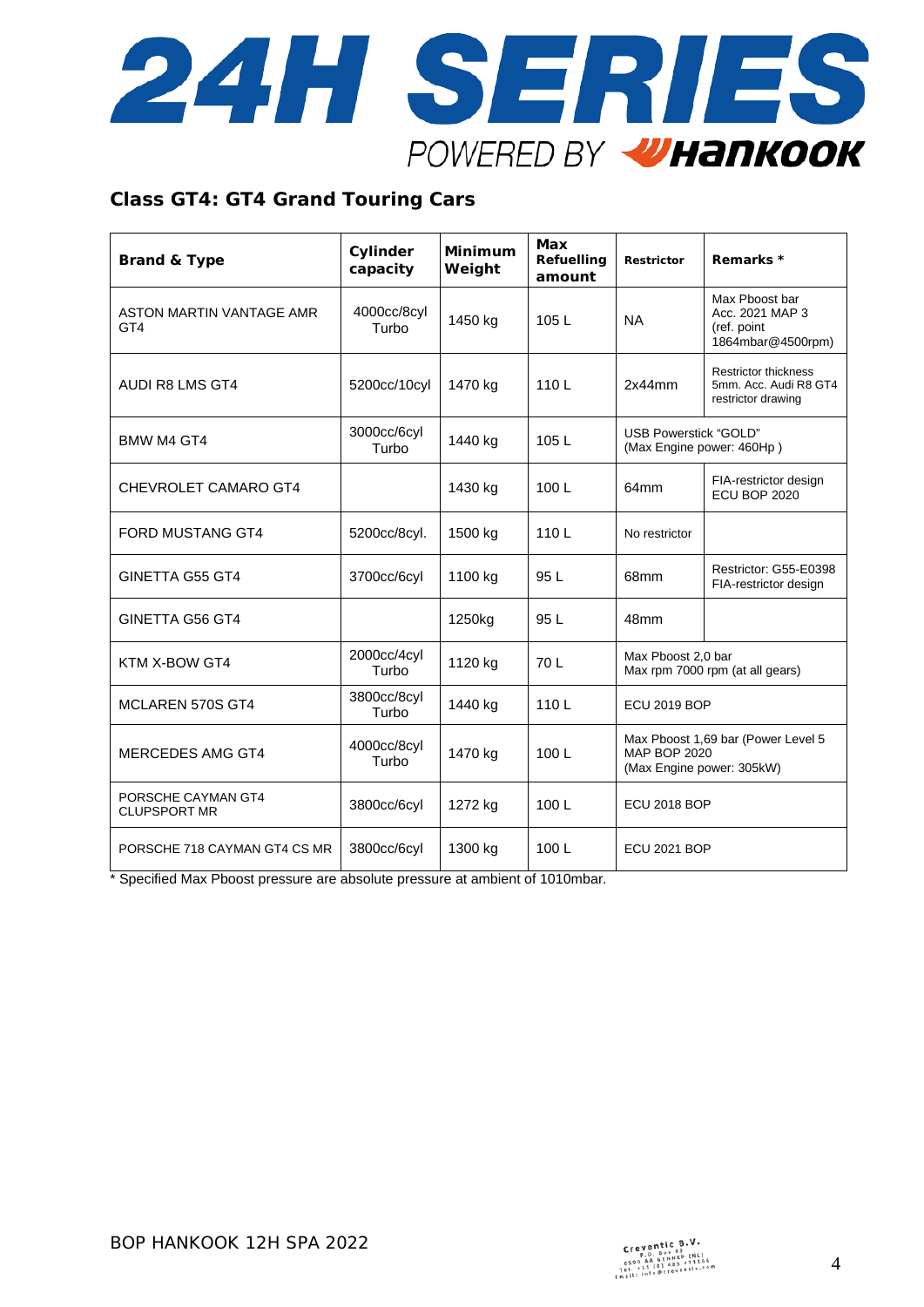

#### **Class GT4: GT4 Grand Touring Cars**

| <b>Brand &amp; Type</b>                   | Cylinder<br>capacity | <b>Minimum</b><br>Weight | <b>Max</b><br>Refuelling<br>amount | <b>Restrictor</b>                                                                      | Remarks *                                                                  |
|-------------------------------------------|----------------------|--------------------------|------------------------------------|----------------------------------------------------------------------------------------|----------------------------------------------------------------------------|
| ASTON MARTIN VANTAGE AMR<br>GT4           | 4000cc/8cyl<br>Turbo | 1450 kg                  | 105L                               | <b>NA</b>                                                                              | Max Phoost bar<br>Acc. 2021 MAP 3<br>(ref. point<br>1864mbar@4500rpm)      |
| AUDI R8 LMS GT4                           | 5200cc/10cyl         | 1470 kg                  | 110L                               | 2x44mm                                                                                 | <b>Restrictor thickness</b><br>5mm. Acc. Audi R8 GT4<br>restrictor drawing |
| <b>BMW M4 GT4</b>                         | 3000cc/6cyl<br>Turbo | 1440 kg                  | 105L                               | <b>USB Powerstick "GOLD"</b><br>(Max Engine power: 460Hp)                              |                                                                            |
| <b>CHEVROLET CAMARO GT4</b>               |                      | 1430 kg                  | 100L                               | 64mm                                                                                   | FIA-restrictor design<br>ECU BOP 2020                                      |
| <b>FORD MUSTANG GT4</b>                   | 5200cc/8cyl.         | 1500 kg                  | 110L                               | No restrictor                                                                          |                                                                            |
| GINETTA G55 GT4                           | 3700cc/6cyl          | 1100 kg                  | 95 L                               | 68mm                                                                                   | Restrictor: G55-E0398<br>FIA-restrictor design                             |
| GINETTA G56 GT4                           |                      | 1250kg                   | 95 L                               | 48mm                                                                                   |                                                                            |
| KTM X-BOW GT4                             | 2000cc/4cyl<br>Turbo | 1120 kg                  | 70 L                               | Max Pboost 2.0 bar                                                                     | Max rpm 7000 rpm (at all gears)                                            |
| <b>MCLAREN 570S GT4</b>                   | 3800cc/8cyl<br>Turbo | 1440 kg                  | 110L                               | <b>ECU 2019 BOP</b>                                                                    |                                                                            |
| <b>MERCEDES AMG GT4</b>                   | 4000cc/8cyl<br>Turbo | 1470 kg                  | 100L                               | Max Pboost 1,69 bar (Power Level 5<br><b>MAP BOP 2020</b><br>(Max Engine power: 305kW) |                                                                            |
| PORSCHE CAYMAN GT4<br><b>CLUPSPORT MR</b> | 3800cc/6cyl          | 1272 kg                  | 100L                               | <b>ECU 2018 BOP</b>                                                                    |                                                                            |
| PORSCHE 718 CAYMAN GT4 CS MR              | 3800cc/6cyl          | 1300 kg                  | 100L                               | <b>ECU 2021 BOP</b>                                                                    |                                                                            |

\* Specified Max Pboost pressure are absolute pressure at ambient of 1010mbar.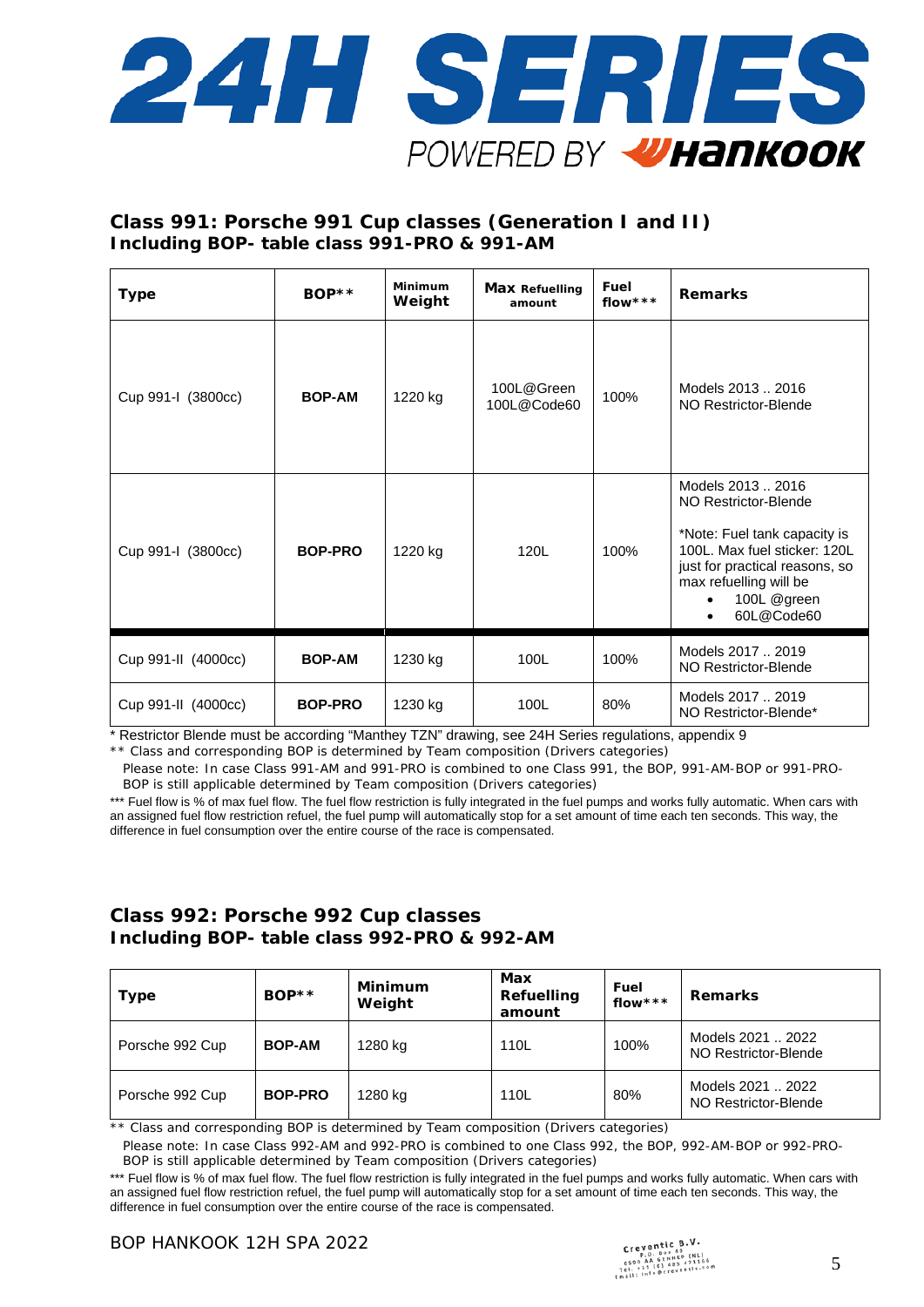

### **Class 991: Porsche 991 Cup classes (Generation I and II) Including BOP- table class 991-PRO & 991-AM**

| <b>Type</b>         | $BOP**$        | Minimum<br>Weight | <b>Max Refuelling</b><br>amount | Fuel<br>flow *** | <b>Remarks</b>                                                                                                                                                                                     |
|---------------------|----------------|-------------------|---------------------------------|------------------|----------------------------------------------------------------------------------------------------------------------------------------------------------------------------------------------------|
| Cup 991-I (3800cc)  | <b>BOP-AM</b>  | 1220 kg           | 100L@Green<br>100L@Code60       | 100%             | Models 2013  2016<br>NO Restrictor-Blende                                                                                                                                                          |
| Cup 991-I (3800cc)  | <b>BOP-PRO</b> | 1220 kg           | 120L                            | 100%             | Models 2013  2016<br>NO Restrictor-Blende<br>*Note: Fuel tank capacity is<br>100L. Max fuel sticker: 120L<br>just for practical reasons, so<br>max refuelling will be<br>100L @green<br>60L@Code60 |
| Cup 991-II (4000cc) | <b>BOP-AM</b>  | 1230 kg           | 100L                            | 100%             | Models 2017  2019<br>NO Restrictor-Blende                                                                                                                                                          |
| Cup 991-II (4000cc) | <b>BOP-PRO</b> | 1230 kg           | 100L                            | 80%              | Models 2017  2019<br>NO Restrictor-Blende*                                                                                                                                                         |

\* Restrictor Blende must be according "Manthey TZN" drawing, see 24H Series regulations, appendix 9 \*\* Class and corresponding BOP is determined by Team composition (Drivers categories)

Please note: In case Class 991-AM and 991-PRO is combined to one Class 991, the BOP, 991-AM-BOP or 991-PRO-BOP is still applicable determined by Team composition (Drivers categories)

\*\*\* Fuel flow is % of max fuel flow. The fuel flow restriction is fully integrated in the fuel pumps and works fully automatic. When cars with an assigned fuel flow restriction refuel, the fuel pump will automatically stop for a set amount of time each ten seconds. This way, the difference in fuel consumption over the entire course of the race is compensated.

#### **Class 992: Porsche 992 Cup classes Including BOP- table class 992-PRO & 992-AM**

| <b>Type</b>     | $BOP**$        | Minimum<br>Weight | Max<br>Refuelling<br>amount | Fuel<br>flow *** | <b>Remarks</b>                            |
|-----------------|----------------|-------------------|-----------------------------|------------------|-------------------------------------------|
| Porsche 992 Cup | <b>BOP-AM</b>  | 1280 kg           | 110L                        | 100%             | Models 2021  2022<br>NO Restrictor-Blende |
| Porsche 992 Cup | <b>BOP-PRO</b> | 1280 kg           | 110L                        | 80%              | Models 2021  2022<br>NO Restrictor-Blende |

\*\* Class and corresponding BOP is determined by Team composition (Drivers categories)

Please note: In case Class 992-AM and 992-PRO is combined to one Class 992, the BOP, 992-AM-BOP or 992-PRO-BOP is still applicable determined by Team composition (Drivers categories)

\*\*\* Fuel flow is % of max fuel flow. The fuel flow restriction is fully integrated in the fuel pumps and works fully automatic. When cars with an assigned fuel flow restriction refuel, the fuel pump will automatically stop for a set amount of time each ten seconds. This way, the difference in fuel consumption over the entire course of the race is compensated.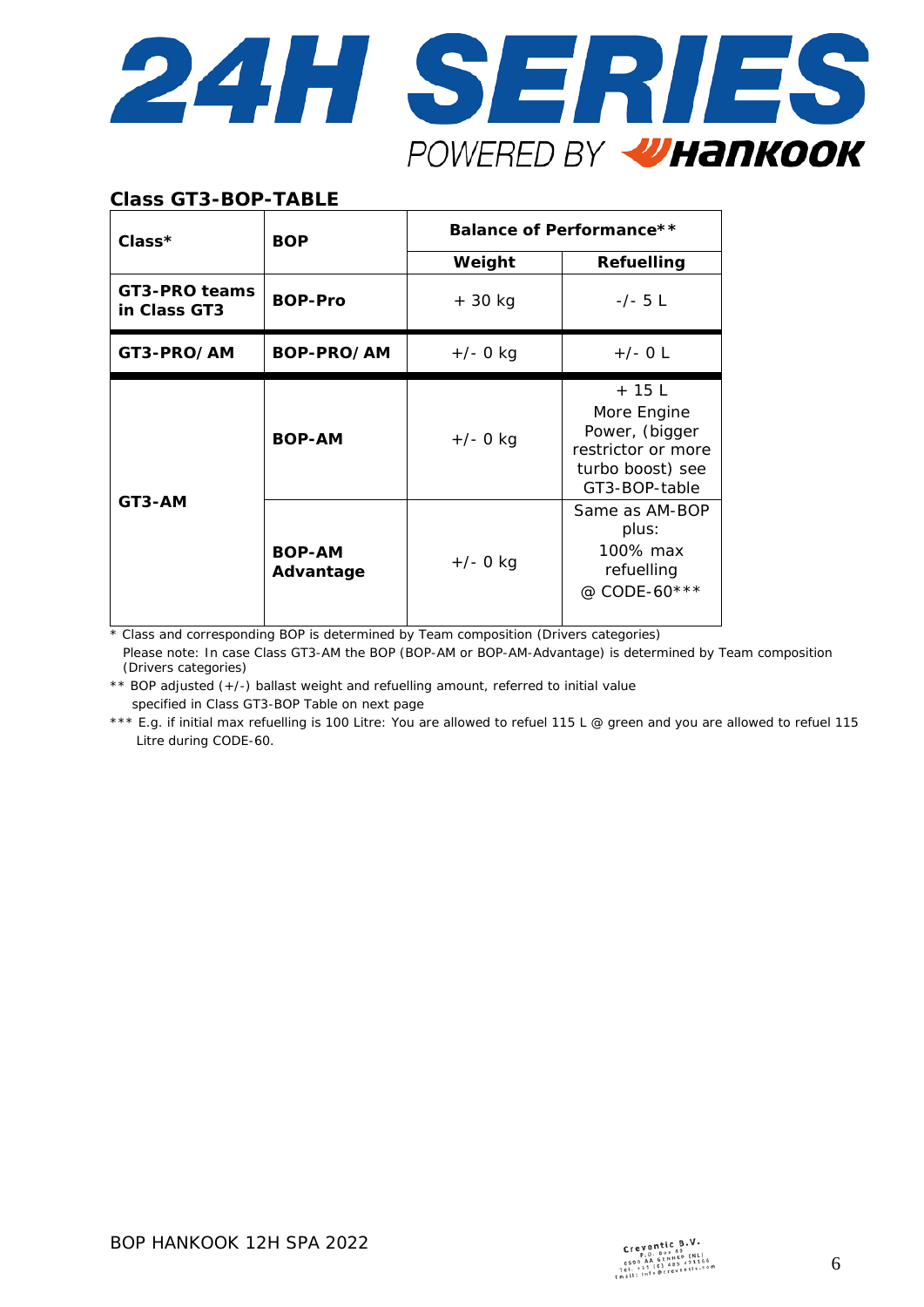

#### **Class GT3-BOP-TABLE**

| $Class*$                      | <b>BOP</b>                 | Balance of Performance** |                                                                                                     |  |  |
|-------------------------------|----------------------------|--------------------------|-----------------------------------------------------------------------------------------------------|--|--|
|                               |                            | Weight                   | Refuelling                                                                                          |  |  |
| GT3-PRO teams<br>in Class GT3 | <b>BOP-Pro</b>             | $+30$ kg                 | $-/- 5 L$                                                                                           |  |  |
| GT3-PRO/AM                    | BOP-PRO/AM                 | $+/- 0$ kg               | $+/-$ 0 L                                                                                           |  |  |
|                               | <b>BOP-AM</b>              | $+/- 0$ kg               | $+15$ L<br>More Engine<br>Power, (bigger<br>restrictor or more<br>turbo boost) see<br>GT3-BOP-table |  |  |
| GT3-AM                        | <b>BOP-AM</b><br>Advantage | $+/- 0$ kg               | Same as AM-BOP<br>plus:<br>100% max<br>refuelling<br>@ CODE-60***                                   |  |  |

\* Class and corresponding BOP is determined by Team composition (Drivers categories)

Please note: In case Class GT3-AM the BOP (BOP-AM or BOP-AM-Advantage) is determined by Team composition (Drivers categories)

\*\* BOP adjusted (+/-) ballast weight and refuelling amount, referred to initial value specified in Class GT3-BOP Table on next page

\*\*\* E.g. if initial max refuelling is 100 Litre: You are allowed to refuel 115 L @ green and you are allowed to refuel 115 Litre during CODE-60.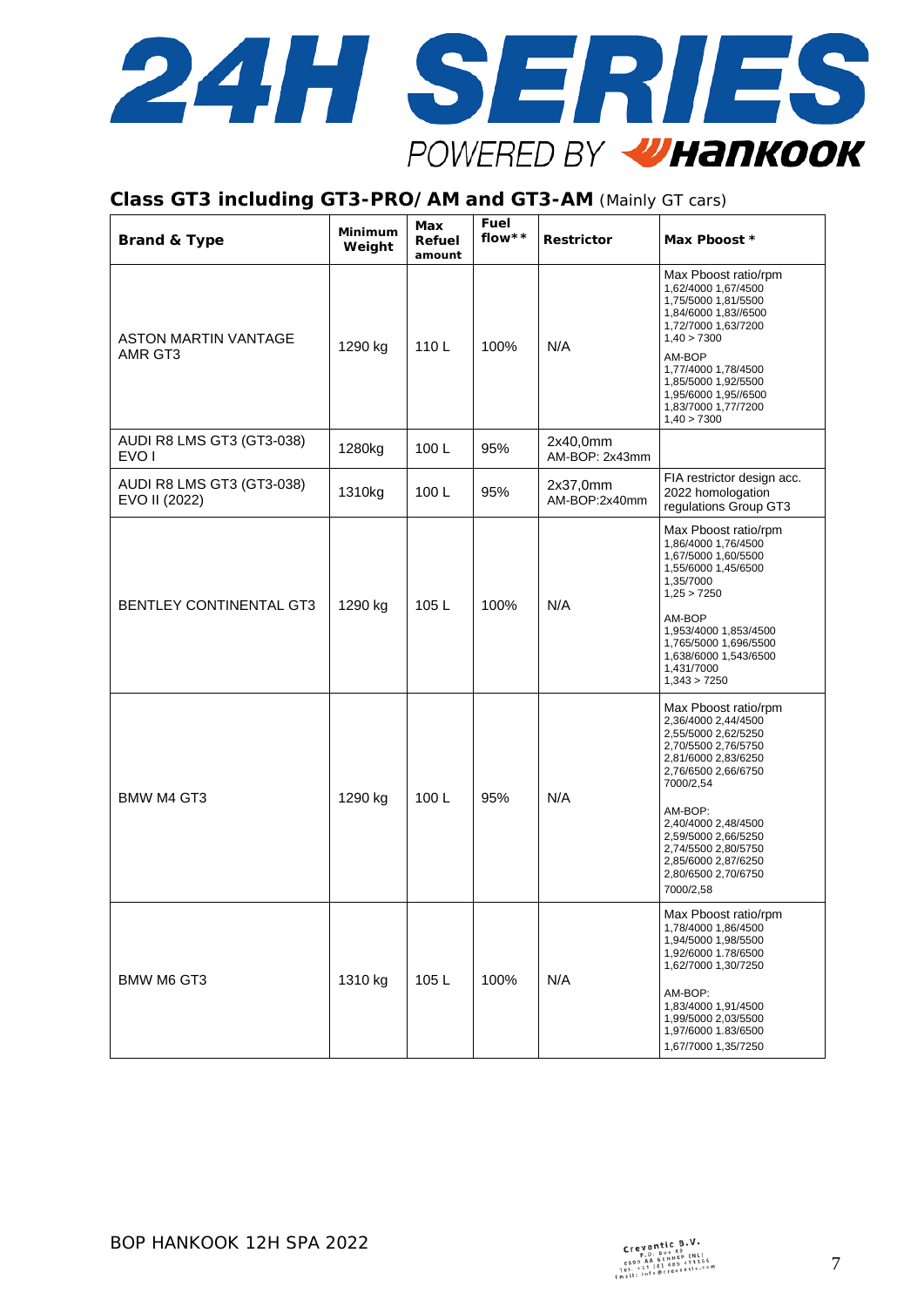

#### **Class GT3 including GT3-PRO/AM and GT3-AM** (Mainly GT cars)

| <b>Brand &amp; Type</b>                       | <b>Minimum</b><br>Weight | Max<br>Refuel<br>amount | Fuel<br>flow $* *$ | Restrictor                 | Max Pboost *                                                                                                                                                                                                                                                                                    |
|-----------------------------------------------|--------------------------|-------------------------|--------------------|----------------------------|-------------------------------------------------------------------------------------------------------------------------------------------------------------------------------------------------------------------------------------------------------------------------------------------------|
| ASTON MARTIN VANTAGE<br>AMR GT3               | 1290 kg                  | 110L                    | 100%               | N/A                        | Max Pboost ratio/rpm<br>1,62/4000 1,67/4500<br>1,75/5000 1,81/5500<br>1,84/6000 1,83//6500<br>1,72/7000 1,63/7200<br>1,40 > 7300<br>AM-BOP<br>1,77/4000 1,78/4500<br>1,85/5000 1,92/5500<br>1,95/6000 1,95//6500<br>1,83/7000 1,77/7200<br>1,40 > 7300                                          |
| AUDI R8 LMS GT3 (GT3-038)<br>EVO <sub>1</sub> | 1280kg                   | 100L                    | 95%                | 2x40,0mm<br>AM-BOP: 2x43mm |                                                                                                                                                                                                                                                                                                 |
| AUDI R8 LMS GT3 (GT3-038)<br>EVO II (2022)    | 1310kg                   | 100L                    | 95%                | 2x37,0mm<br>AM-BOP:2x40mm  | FIA restrictor design acc.<br>2022 homologation<br>regulations Group GT3                                                                                                                                                                                                                        |
| <b>BENTLEY CONTINENTAL GT3</b>                | 1290 kg                  | 105L                    | 100%               | N/A                        | Max Pboost ratio/rpm<br>1,86/4000 1,76/4500<br>1,67/5000 1,60/5500<br>1,55/6000 1,45/6500<br>1,35/7000<br>1,25 > 7250<br>AM-BOP<br>1,953/4000 1,853/4500<br>1,765/5000 1,696/5500<br>1,638/6000 1,543/6500<br>1,431/7000<br>1,343 > 7250                                                        |
| BMW M4 GT3                                    | 1290 kg                  | 100L                    | 95%                | N/A                        | Max Pboost ratio/rpm<br>2,36/4000 2,44/4500<br>2,55/5000 2,62/5250<br>2,70/5500 2,76/5750<br>2,81/6000 2,83/6250<br>2,76/6500 2,66/6750<br>7000/2,54<br>AM-BOP:<br>2,40/4000 2,48/4500<br>2,59/5000 2,66/5250<br>2,74/5500 2,80/5750<br>2,85/6000 2,87/6250<br>2,80/6500 2,70/6750<br>7000/2,58 |
| <b>BMW M6 GT3</b>                             | 1310 kg                  | 105L                    | 100%               | N/A                        | Max Pboost ratio/rpm<br>1,78/4000 1,86/4500<br>1,94/5000 1,98/5500<br>1,92/6000 1.78/6500<br>1,62/7000 1,30/7250<br>AM-BOP:<br>1,83/4000 1,91/4500<br>1,99/5000 2,03/5500<br>1,97/6000 1.83/6500<br>1,67/7000 1,35/7250                                                                         |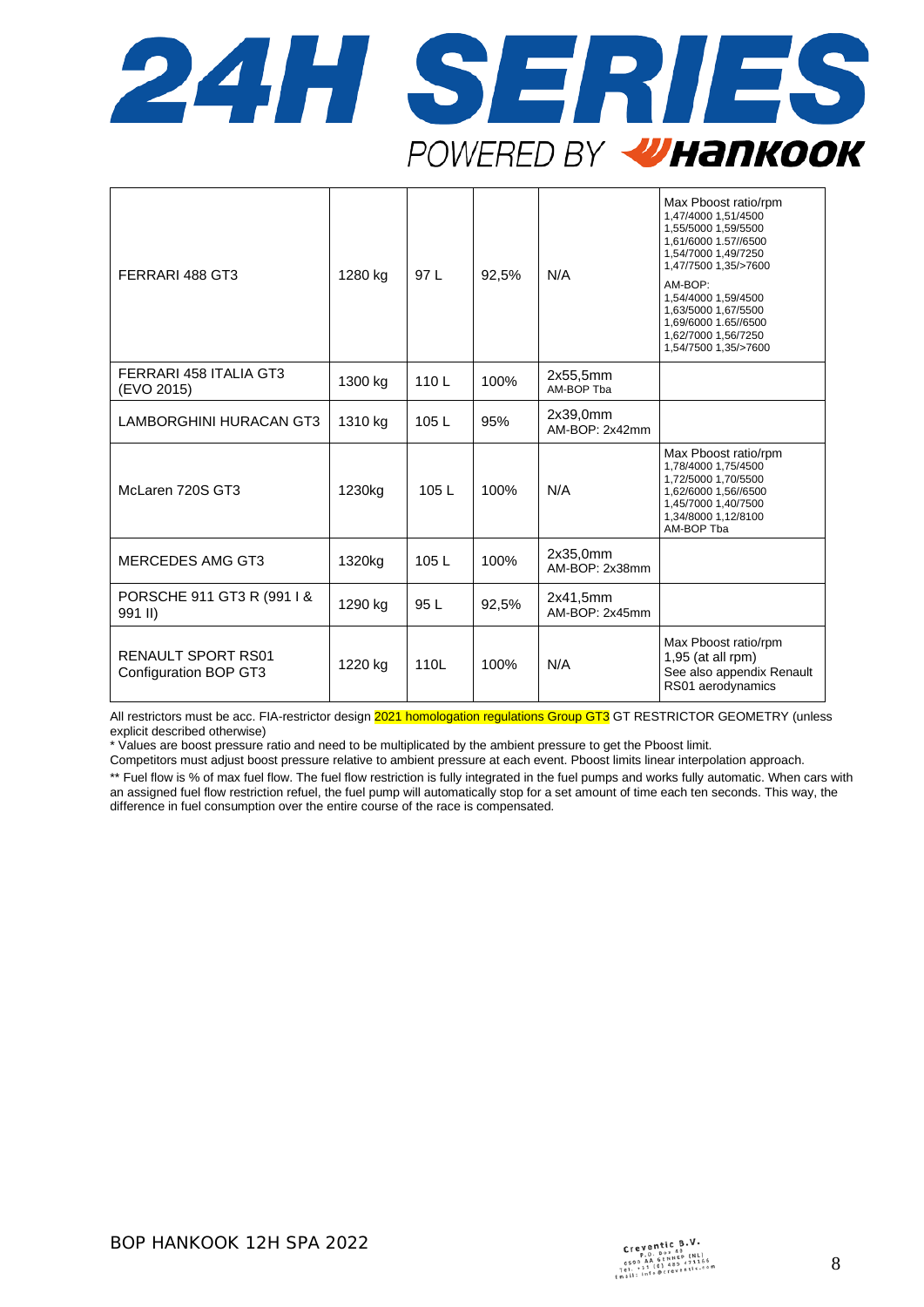

| FERRARI 488 GT3                                    | 1280 kg | 97 L | 92.5% | N/A                        | Max Pboost ratio/rpm<br>1,47/4000 1,51/4500<br>1,55/5000 1,59/5500<br>1,61/6000 1.57//6500<br>1,54/7000 1,49/7250<br>1,47/7500 1,35/>7600<br>AM-BOP:<br>1,54/4000 1,59/4500<br>1,63/5000 1,67/5500<br>1,69/6000 1.65//6500<br>1,62/7000 1,56/7250<br>1,54/7500 1,35/>7600 |
|----------------------------------------------------|---------|------|-------|----------------------------|---------------------------------------------------------------------------------------------------------------------------------------------------------------------------------------------------------------------------------------------------------------------------|
| FERRARI 458 ITALIA GT3<br>(EVO 2015)               | 1300 kg | 110L | 100%  | 2x55,5mm<br>AM-BOP Tba     |                                                                                                                                                                                                                                                                           |
| <b>LAMBORGHINI HURACAN GT3</b>                     | 1310 kg | 105L | 95%   | 2x39,0mm<br>AM-BOP: 2x42mm |                                                                                                                                                                                                                                                                           |
| McLaren 720S GT3                                   | 1230kg  | 105L | 100%  | N/A                        | Max Pboost ratio/rpm<br>1,78/4000 1,75/4500<br>1,72/5000 1,70/5500<br>1,62/6000 1,56//6500<br>1,45/7000 1,40/7500<br>1,34/8000 1,12/8100<br>AM-BOP Tba                                                                                                                    |
| <b>MERCEDES AMG GT3</b>                            | 1320kg  | 105L | 100%  | 2x35,0mm<br>AM-BOP: 2x38mm |                                                                                                                                                                                                                                                                           |
| PORSCHE 911 GT3 R (991 I &<br>991 II)              | 1290 kg | 95 L | 92,5% | 2x41,5mm<br>AM-BOP: 2x45mm |                                                                                                                                                                                                                                                                           |
| <b>RENAULT SPORT RS01</b><br>Configuration BOP GT3 | 1220 kg | 110L | 100%  | N/A                        | Max Pboost ratio/rpm<br>$1,95$ (at all rpm)<br>See also appendix Renault<br>RS01 aerodynamics                                                                                                                                                                             |

All restrictors must be acc. FIA-restrictor design 2021 homologation regulations Group GT3 GT RESTRICTOR GEOMETRY (unless explicit described otherwise)

\* Values are boost pressure ratio and need to be multiplicated by the ambient pressure to get the Pboost limit.

Competitors must adjust boost pressure relative to ambient pressure at each event. Pboost limits linear interpolation approach.

\*\* Fuel flow is % of max fuel flow. The fuel flow restriction is fully integrated in the fuel pumps and works fully automatic. When cars with an assigned fuel flow restriction refuel, the fuel pump will automatically stop for a set amount of time each ten seconds. This way, the difference in fuel consumption over the entire course of the race is compensated.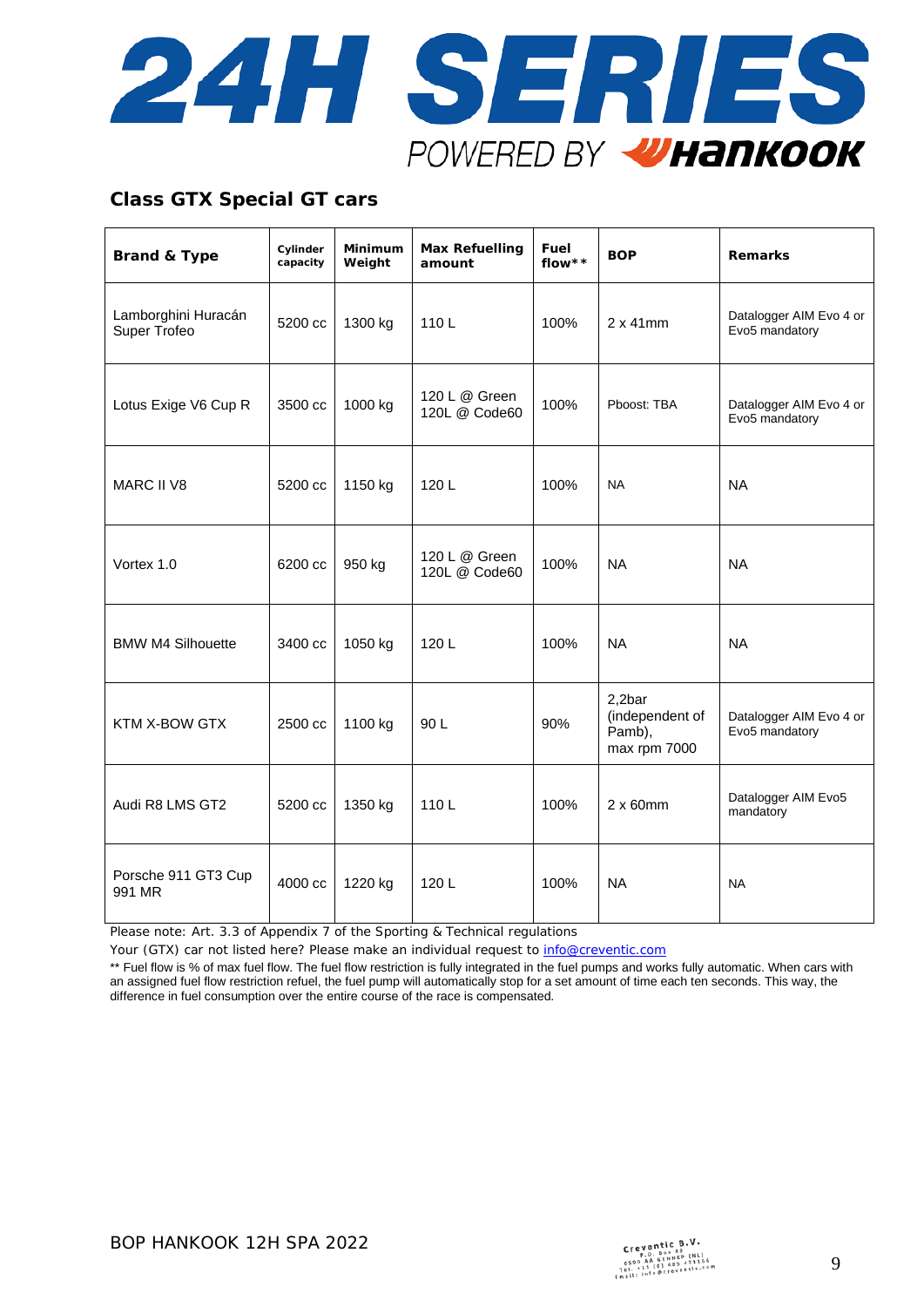

## **Class GTX Special GT cars**

| <b>Brand &amp; Type</b>             | Cylinder<br>capacity | Minimum<br>Weight | <b>Max Refuelling</b><br>amount | Fuel<br>flow** | <b>BOP</b>                                          | <b>Remarks</b>                            |
|-------------------------------------|----------------------|-------------------|---------------------------------|----------------|-----------------------------------------------------|-------------------------------------------|
| Lamborghini Huracán<br>Super Trofeo | 5200 cc              | 1300 kg           | 110L                            | 100%           | $2 \times 41$ mm                                    | Datalogger AIM Evo 4 or<br>Evo5 mandatory |
| Lotus Exige V6 Cup R                | 3500 cc              | 1000 kg           | 120 L @ Green<br>120L @ Code60  | 100%           | Pboost: TBA                                         | Datalogger AIM Evo 4 or<br>Evo5 mandatory |
| <b>MARC II V8</b>                   | 5200 cc              | 1150 kg           | 120L                            | 100%           | <b>NA</b>                                           | <b>NA</b>                                 |
| Vortex 1.0                          | 6200 cc              | 950 kg            | 120 L @ Green<br>120L @ Code60  | 100%           | <b>NA</b>                                           | <b>NA</b>                                 |
| <b>BMW M4 Silhouette</b>            | 3400 cc              | 1050 kg           | 120L                            | 100%           | <b>NA</b>                                           | <b>NA</b>                                 |
| KTM X-BOW GTX                       | 2500 cc              | 1100 kg           | 90 L                            | 90%            | 2,2bar<br>(independent of<br>Pamb),<br>max rpm 7000 | Datalogger AIM Evo 4 or<br>Evo5 mandatory |
| Audi R8 LMS GT2                     | 5200 cc              | 1350 kg           | 110L                            | 100%           | $2 \times 60$ mm                                    | Datalogger AIM Evo5<br>mandatory          |
| Porsche 911 GT3 Cup<br>991 MR       | 4000 cc              | 1220 kg           | 120L                            | 100%           | <b>NA</b>                                           | <b>NA</b>                                 |

Please note: Art. 3.3 of Appendix 7 of the Sporting & Technical regulations

Your (GTX) car not listed here? Please make an individual request to [info@creventic.com](mailto:info@creventic.com)

\*\* Fuel flow is % of max fuel flow. The fuel flow restriction is fully integrated in the fuel pumps and works fully automatic. When cars with an assigned fuel flow restriction refuel, the fuel pump will automatically stop for a set amount of time each ten seconds. This way, the difference in fuel consumption over the entire course of the race is compensated.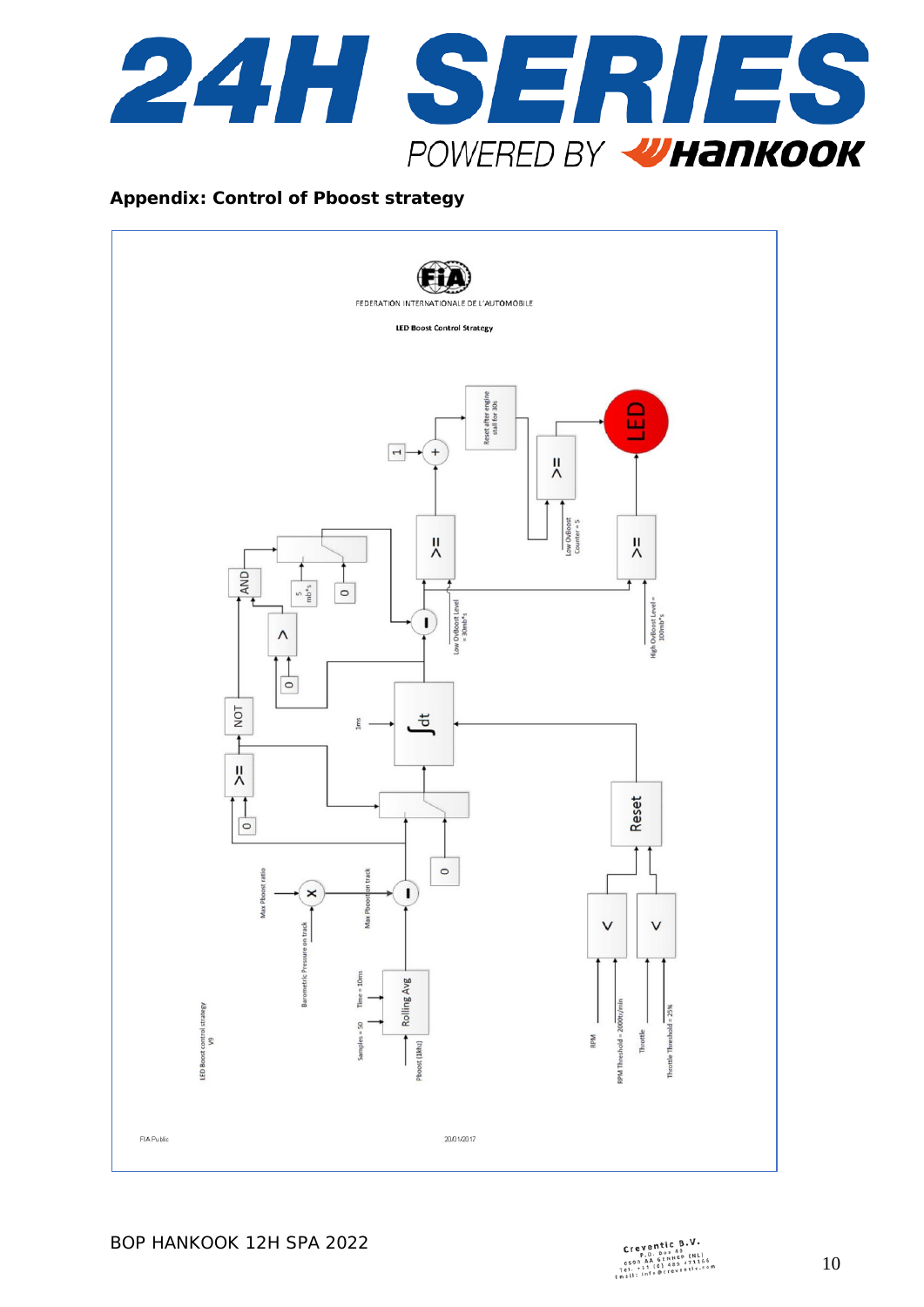

#### **Appendix: Control of Pboost strategy**